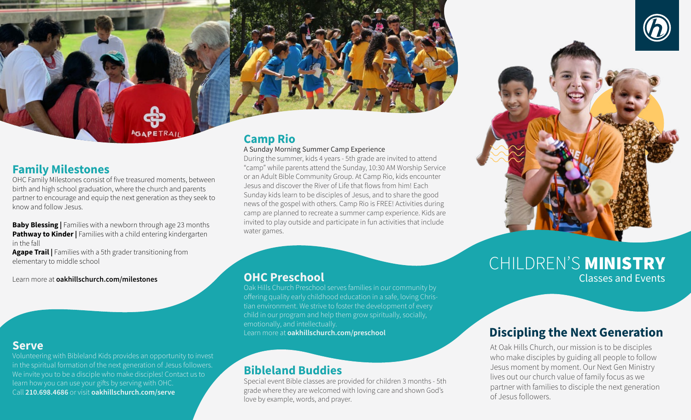### **Family Milestones**

OHC Family Milestones consist of five treasured moments, between birth and high school graduation, where the church and parents partner to encourage and equip the next generation as they seek to know and follow Jesus.

**Baby Blessing |** Families with a newborn through age 23 months **Pathway to Kinder | Families with a child entering kindergarten** in the fall

**Agape Trail |** Families with a 5th grader transitioning from elementary to middle school

Learn more at **oakhillschurch.com/milestones** 

### **Serve**

Volunteering with Bibleland Kids provides an opportunity to invest in the spiritual formation of the next generation of Jesus followers. We invite you to be a disciple who make disciples! Contact us to learn how you can use your gifts by serving with OHC. Call **210.698.4686** or visit **oakhillschurch.com/serve** 

# **Camp Rio**

#### A Sunday Morning Summer Camp Experience

During the summer, kids 4 years - 5th grade are invited to attend "camp" while parents attend the Sunday, 10:30 AM Worship Service or an Adult Bible Community Group. At Camp Rio, kids encounter Jesus and discover the River of Life that flows from him! Each Sunday kids learn to be disciples of Jesus, and to share the good news of the gospel with others. Camp Rio is FREE! Activities during camp are planned to recreate a summer camp experience. Kids are invited to play outside and participate in fun activities that include water games.

### **OHC Preschool** Classes and Events

Oak Hills Church Preschool serves families in our community by offering quality early childhood education in a safe, loving Christian environment. We strive to foster the development of every child in our program and help them grow spiritually, socially, emotionally, and intellectually. Learn more at **oakhillschurch.com/preschool** 

## **Bibleland Buddies**

Special event Bible classes are provided for children 3 months - 5th grade where they are welcomed with loving care and shown God's love by example, words, and prayer.



# CHILDREN'S MINISTRY

# **Discipling the Next Generation**

At Oak Hills Church, our mission is to be disciples who make disciples by guiding all people to follow Jesus moment by moment. Our Next Gen Ministry lives out our church value of family focus as we partner with families to disciple the next generation of Jesus followers.